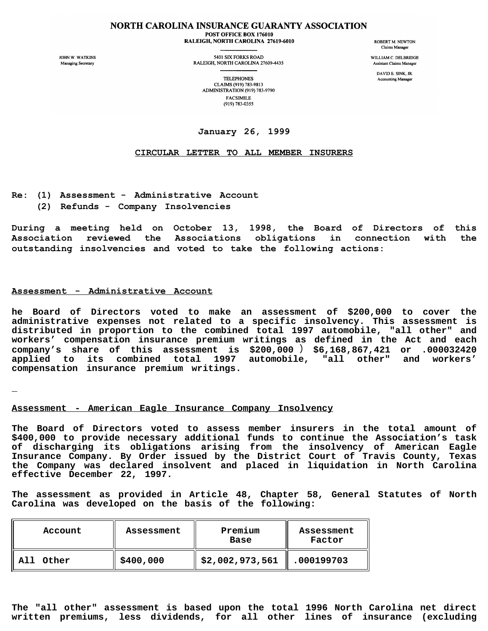#### NORTH CAROLINA INSURANCE GUARANTY ASSOCIATION POST OFFICE BOX 176010 RALEIGH, NORTH CAROLINA 27619-6010

JOHN W. WATKINS Managing Secretary

5401 SIX FORKS ROAD RALEIGH, NORTH CAROLINA 27609-4435 **ROBERT M. NEWTON** Claims Manager

WILLIAM C. DELBRIDGE Assistant Claims Manager

> DAVID E. SINK, JR. **Accounting Manager**

**TELEPHONES** CLAIMS (919) 783-9813 ADMINISTRATION (919) 783-9790 **FACSIMILE** (919) 783-0355

# **January 26, 1999**

# **CIRCULAR LETTER TO ALL MEMBER INSURERS**

- **Re: (1) Assessment Administrative Account**
	- **(2) Refunds Company Insolvencies**

**During a meeting held on October 13, 1998, the Board of Directors of this Association reviewed the Associations obligations in connection with the outstanding insolvencies and voted to take the following actions:**

# **Assessment - Administrative Account**

**he Board of Directors voted to make an assessment of \$200,000 to cover the administrative expenses not related to a specific insolvency. This assessment is distributed in proportion to the combined total 1997 automobile, "all other" and workers' compensation insurance premium writings as defined in the Act and each company's share of this assessment is \$200,000** ) **\$6,168,867,421 or .000032420 applied to its combined total 1997 automobile, "all other" and workers' compensation insurance premium writings.**

### **Assessment - American Eagle Insurance Company Insolvency**

**The Board of Directors voted to assess member insurers in the total amount of \$400,000 to provide necessary additional funds to continue the Association's task of discharging its obligations arising from the insolvency of American Eagle Insurance Company. By Order issued by the District Court of Travis County, Texas the Company was declared insolvent and placed in liquidation in North Carolina effective December 22, 1997.**

**The assessment as provided in Article 48, Chapter 58, General Statutes of North Carolina was developed on the basis of the following:**

| Account      | Assessment | Premium<br>Base | Assessment<br>Factor |
|--------------|------------|-----------------|----------------------|
| All<br>Other | \$400,000  | \$2,002,973,561 | .000199703           |

**The "all other" assessment is based upon the total 1996 North Carolina net direct written premiums, less dividends, for all other lines of insurance (excluding**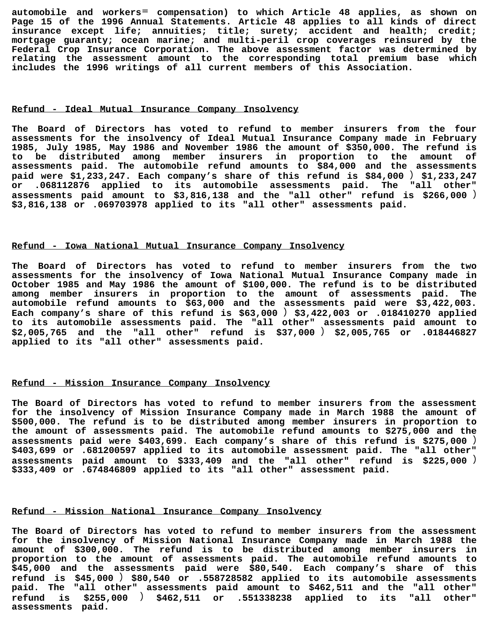**automobile and workers**= **compensation) to which Article 48 applies, as shown on Page 15 of the 1996 Annual Statements. Article 48 applies to all kinds of direct insurance except life; annuities; title; surety; accident and health; credit; mortgage guaranty; ocean marine; and multi-peril crop coverages reinsured by the Federal Crop Insurance Corporation. The above assessment factor was determined by relating the assessment amount to the corresponding total premium base which includes the 1996 writings of all current members of this Association.**

#### **Refund - Ideal Mutual Insurance Company Insolvency**

**The Board of Directors has voted to refund to member insurers from the four assessments for the insolvency of Ideal Mutual Insurance Company made in February 1985, July 1985, May 1986 and November 1986 the amount of \$350,000. The refund is to be distributed among member insurers in proportion to the amount of assessments paid. The automobile refund amounts to \$84,000 and the assessments paid were \$1,233,247. Each company's share of this refund is \$84,000** ) **\$1,233,247 or .068112876 applied to its automobile assessments paid. The "all other" assessments paid amount to \$3,816,138 and the "all other" refund is \$266,000** ) **\$3,816,138 or .069703978 applied to its "all other" assessments paid.**

#### **Refund - Iowa National Mutual Insurance Company Insolvency**

**The Board of Directors has voted to refund to member insurers from the two assessments for the insolvency of Iowa National Mutual Insurance Company made in October 1985 and May 1986 the amount of \$100,000. The refund is to be distributed among member insurers in proportion to the amount of assessments paid. The automobile refund amounts to \$63,000 and the assessments paid were \$3,422,003. Each company's share of this refund is \$63,000** ) **\$3,422,003 or .018410270 applied to its automobile assessments paid. The "all other" assessments paid amount to \$2,005,765 and the "all other" refund is \$37,000** ) **\$2,005,765 or .018446827 applied to its "all other" assessments paid.**

### **Refund - Mission Insurance Company Insolvency**

**The Board of Directors has voted to refund to member insurers from the assessment for the insolvency of Mission Insurance Company made in March 1988 the amount of \$500,000. The refund is to be distributed among member insurers in proportion to the amount of assessments paid. The automobile refund amounts to \$275,000 and the assessments paid were \$403,699. Each company's share of this refund is \$275,000** ) **\$403,699 or .681200597 applied to its automobile assessment paid. The "all other" assessments paid amount to \$333,409 and the "all other" refund is \$225,000** ) **\$333,409 or .674846809 applied to its "all other" assessment paid.**

# **Refund - Mission National Insurance Company Insolvency**

**The Board of Directors has voted to refund to member insurers from the assessment for the insolvency of Mission National Insurance Company made in March 1988 the amount of \$300,000. The refund is to be distributed among member insurers in proportion to the amount of assessments paid. The automobile refund amounts to \$45,000 and the assessments paid were \$80,540. Each company's share of this refund is \$45,000** ) **\$80,540 or .558728582 applied to its automobile assessments paid. The "all other" assessments paid amount to \$462,511 and the "all other" refund is \$255,000** ) **\$462,511 or .551338238 applied to its "all other" assessments paid.**